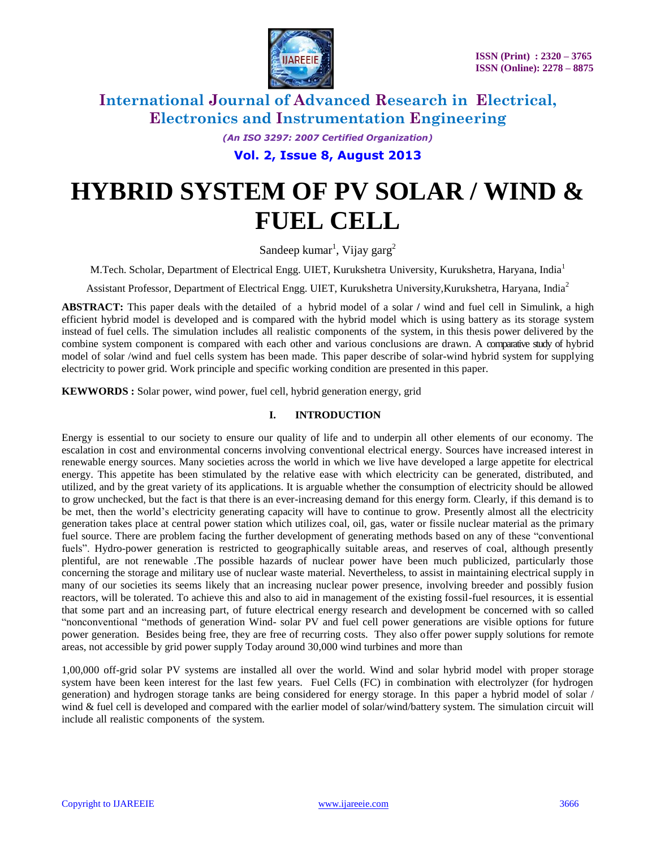

*(An ISO 3297: 2007 Certified Organization)*

**Vol. 2, Issue 8, August 2013**

# **HYBRID SYSTEM OF PV SOLAR / WIND & FUEL CELL**

Sandeep kumar<sup>1</sup>, Vijay garg<sup>2</sup>

M.Tech. Scholar, Department of Electrical Engg. UIET, Kurukshetra University, Kurukshetra, Haryana, India<sup>1</sup>

Assistant Professor, Department of Electrical Engg. UIET, Kurukshetra University,Kurukshetra, Haryana, India<sup>2</sup>

**ABSTRACT:** This paper deals with the detailed of a hybrid model of a solar **/** wind and fuel cell in Simulink, a high efficient hybrid model is developed and is compared with the hybrid model which is using battery as its storage system instead of fuel cells. The simulation includes all realistic components of the system, in this thesis power delivered by the combine system component is compared with each other and various conclusions are drawn. A comparative study of hybrid model of solar /wind and fuel cells system has been made. This paper describe of solar-wind hybrid system for supplying electricity to power grid. Work principle and specific working condition are presented in this paper.

**KEWWORDS :** Solar power, wind power, fuel cell, hybrid generation energy, grid

#### **I. INTRODUCTION**

Energy is essential to our society to ensure our quality of life and to underpin all other elements of our economy. The escalation in cost and environmental concerns involving conventional electrical energy. Sources have increased interest in renewable energy sources. Many societies across the world in which we live have developed a large appetite for electrical energy. This appetite has been stimulated by the relative ease with which electricity can be generated, distributed, and utilized, and by the great variety of its applications. It is arguable whether the consumption of electricity should be allowed to grow unchecked, but the fact is that there is an ever-increasing demand for this energy form. Clearly, if this demand is to be met, then the world's electricity generating capacity will have to continue to grow. Presently almost all the electricity generation takes place at central power station which utilizes coal, oil, gas, water or fissile nuclear material as the primary fuel source. There are problem facing the further development of generating methods based on any of these "conventional fuels". Hydro-power generation is restricted to geographically suitable areas, and reserves of coal, although presently plentiful, are not renewable .The possible hazards of nuclear power have been much publicized, particularly those concerning the storage and military use of nuclear waste material. Nevertheless, to assist in maintaining electrical supply in many of our societies its seems likely that an increasing nuclear power presence, involving breeder and possibly fusion reactors, will be tolerated. To achieve this and also to aid in management of the existing fossil-fuel resources, it is essential that some part and an increasing part, of future electrical energy research and development be concerned with so called ―nonconventional ―methods of generation Wind- solar PV and fuel cell power generations are visible options for future power generation. Besides being free, they are free of recurring costs. They also offer power supply solutions for remote areas, not accessible by grid power supply Today around 30,000 wind turbines and more than

1,00,000 off-grid solar PV systems are installed all over the world. Wind and solar hybrid model with proper storage system have been keen interest for the last few years. Fuel Cells (FC) in combination with electrolyzer (for hydrogen generation) and hydrogen storage tanks are being considered for energy storage. In this paper a hybrid model of solar / wind & fuel cell is developed and compared with the earlier model of solar/wind/battery system. The simulation circuit will include all realistic components of the system.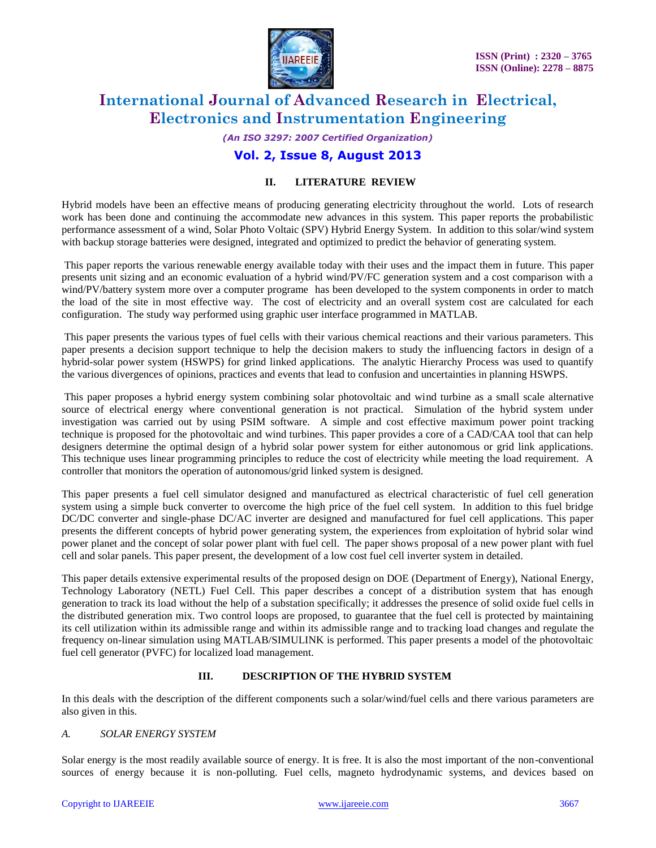

*(An ISO 3297: 2007 Certified Organization)*

### **Vol. 2, Issue 8, August 2013**

#### **II. LITERATURE REVIEW**

Hybrid models have been an effective means of producing generating electricity throughout the world. Lots of research work has been done and continuing the accommodate new advances in this system. This paper reports the probabilistic performance assessment of a wind, Solar Photo Voltaic (SPV) Hybrid Energy System. In addition to this solar/wind system with backup storage batteries were designed, integrated and optimized to predict the behavior of generating system.

This paper reports the various renewable energy available today with their uses and the impact them in future. This paper presents unit sizing and an economic evaluation of a hybrid wind/PV/FC generation system and a cost comparison with a wind/PV/battery system more over a computer programe has been developed to the system components in order to match the load of the site in most effective way. The cost of electricity and an overall system cost are calculated for each configuration. The study way performed using graphic user interface programmed in MATLAB.

This paper presents the various types of fuel cells with their various chemical reactions and their various parameters. This paper presents a decision support technique to help the decision makers to study the influencing factors in design of a hybrid-solar power system (HSWPS) for grind linked applications. The analytic Hierarchy Process was used to quantify the various divergences of opinions, practices and events that lead to confusion and uncertainties in planning HSWPS.

This paper proposes a hybrid energy system combining solar photovoltaic and wind turbine as a small scale alternative source of electrical energy where conventional generation is not practical. Simulation of the hybrid system under investigation was carried out by using PSIM software. A simple and cost effective maximum power point tracking technique is proposed for the photovoltaic and wind turbines. This paper provides a core of a CAD/CAA tool that can help designers determine the optimal design of a hybrid solar power system for either autonomous or grid link applications. This technique uses linear programming principles to reduce the cost of electricity while meeting the load requirement. A controller that monitors the operation of autonomous/grid linked system is designed.

This paper presents a fuel cell simulator designed and manufactured as electrical characteristic of fuel cell generation system using a simple buck converter to overcome the high price of the fuel cell system. In addition to this fuel bridge DC/DC converter and single-phase DC/AC inverter are designed and manufactured for fuel cell applications. This paper presents the different concepts of hybrid power generating system, the experiences from exploitation of hybrid solar wind power planet and the concept of solar power plant with fuel cell. The paper shows proposal of a new power plant with fuel cell and solar panels. This paper present, the development of a low cost fuel cell inverter system in detailed.

This paper details extensive experimental results of the proposed design on DOE (Department of Energy), National Energy, Technology Laboratory (NETL) Fuel Cell. This paper describes a concept of a distribution system that has enough generation to track its load without the help of a substation specifically; it addresses the presence of solid oxide fuel cells in the distributed generation mix. Two control loops are proposed, to guarantee that the fuel cell is protected by maintaining its cell utilization within its admissible range and within its admissible range and to tracking load changes and regulate the frequency on-linear simulation using MATLAB/SIMULINK is performed. This paper presents a model of the photovoltaic fuel cell generator (PVFC) for localized load management.

#### **III. DESCRIPTION OF THE HYBRID SYSTEM**

In this deals with the description of the different components such a solar/wind/fuel cells and there various parameters are also given in this.

#### *A. SOLAR ENERGY SYSTEM*

Solar energy is the most readily available source of energy. It is free. It is also the most important of the non-conventional sources of energy because it is non-polluting. Fuel cells, magneto hydrodynamic systems, and devices based on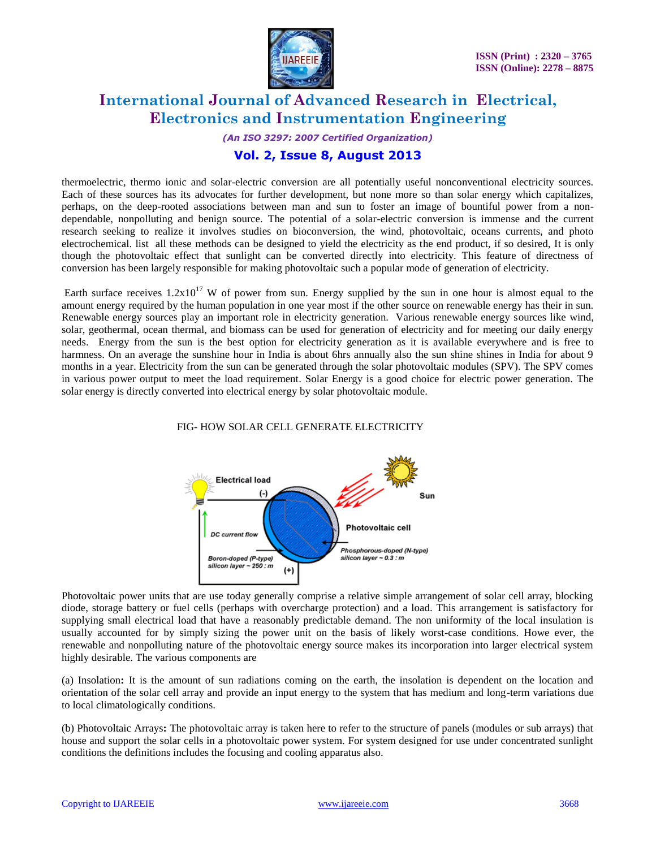

*(An ISO 3297: 2007 Certified Organization)*

### **Vol. 2, Issue 8, August 2013**

thermoelectric, thermo ionic and solar-electric conversion are all potentially useful nonconventional electricity sources. Each of these sources has its advocates for further development, but none more so than solar energy which capitalizes, perhaps, on the deep-rooted associations between man and sun to foster an image of bountiful power from a nondependable, nonpolluting and benign source. The potential of a solar-electric conversion is immense and the current research seeking to realize it involves studies on bioconversion, the wind, photovoltaic, oceans currents, and photo electrochemical. list all these methods can be designed to yield the electricity as the end product, if so desired, It is only though the photovoltaic effect that sunlight can be converted directly into electricity. This feature of directness of conversion has been largely responsible for making photovoltaic such a popular mode of generation of electricity.

Earth surface receives  $1.2x10^{17}$  W of power from sun. Energy supplied by the sun in one hour is almost equal to the amount energy required by the human population in one year most if the other source on renewable energy has their in sun. Renewable energy sources play an important role in electricity generation. Various renewable energy sources like wind, solar, geothermal, ocean thermal, and biomass can be used for generation of electricity and for meeting our daily energy needs. Energy from the sun is the best option for electricity generation as it is available everywhere and is free to harmness. On an average the sunshine hour in India is about 6hrs annually also the sun shine shines in India for about 9 months in a year. Electricity from the sun can be generated through the solar photovoltaic modules (SPV). The SPV comes in various power output to meet the load requirement. Solar Energy is a good choice for electric power generation. The solar energy is directly converted into electrical energy by solar photovoltaic module.

#### FIG- HOW SOLAR CELL GENERATE ELECTRICITY



Photovoltaic power units that are use today generally comprise a relative simple arrangement of solar cell array, blocking diode, storage battery or fuel cells (perhaps with overcharge protection) and a load. This arrangement is satisfactory for supplying small electrical load that have a reasonably predictable demand. The non uniformity of the local insulation is usually accounted for by simply sizing the power unit on the basis of likely worst-case conditions. Howe ever, the renewable and nonpolluting nature of the photovoltaic energy source makes its incorporation into larger electrical system highly desirable. The various components are

(a) Insolation**:** It is the amount of sun radiations coming on the earth, the insolation is dependent on the location and orientation of the solar cell array and provide an input energy to the system that has medium and long-term variations due to local climatologically conditions.

(b) Photovoltaic Arrays**:** The photovoltaic array is taken here to refer to the structure of panels (modules or sub arrays) that house and support the solar cells in a photovoltaic power system. For system designed for use under concentrated sunlight conditions the definitions includes the focusing and cooling apparatus also.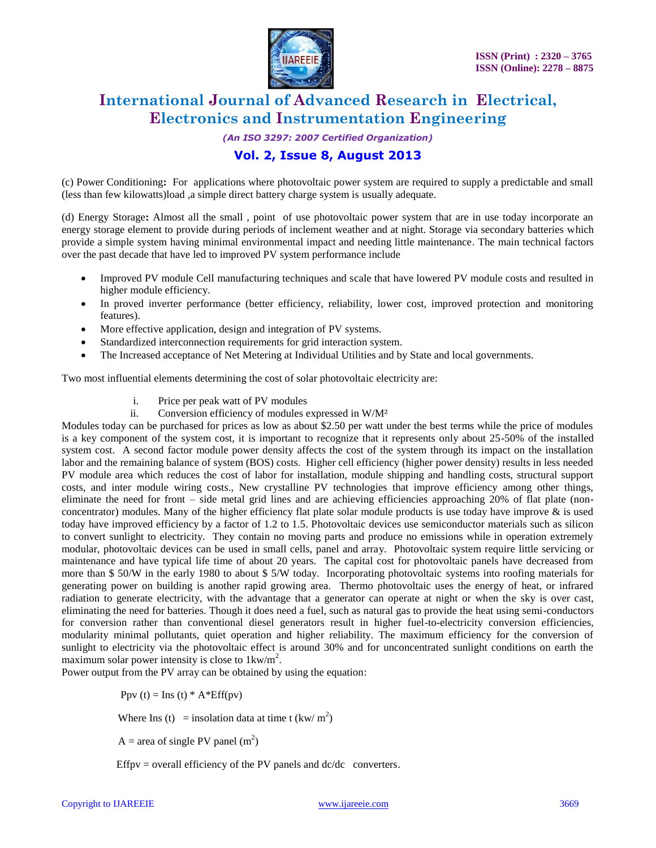

*(An ISO 3297: 2007 Certified Organization)*

### **Vol. 2, Issue 8, August 2013**

(c) Power Conditioning**:** For applications where photovoltaic power system are required to supply a predictable and small (less than few kilowatts)load ,a simple direct battery charge system is usually adequate.

(d) Energy Storage**:** Almost all the small , point of use photovoltaic power system that are in use today incorporate an energy storage element to provide during periods of inclement weather and at night. Storage via secondary batteries which provide a simple system having minimal environmental impact and needing little maintenance. The main technical factors over the past decade that have led to improved PV system performance include

- Improved PV module Cell manufacturing techniques and scale that have lowered PV module costs and resulted in higher module efficiency.
- In proved inverter performance (better efficiency, reliability, lower cost, improved protection and monitoring features).
- More effective application, design and integration of PV systems.
- Standardized interconnection requirements for grid interaction system.
- The Increased acceptance of Net Metering at Individual Utilities and by State and local governments.

Two most influential elements determining the cost of solar photovoltaic electricity are:

- i. Price per peak watt of PV modules
- ii. Conversion efficiency of modules expressed in W/M²

Modules today can be purchased for prices as low as about \$2.50 per watt under the best terms while the price of modules is a key component of the system cost, it is important to recognize that it represents only about 25-50% of the installed system cost. A second factor module power density affects the cost of the system through its impact on the installation labor and the remaining balance of system (BOS) costs. Higher cell efficiency (higher power density) results in less needed PV module area which reduces the cost of labor for installation, module shipping and handling costs, structural support costs, and inter module wiring costs., New crystalline PV technologies that improve efficiency among other things, eliminate the need for front – side metal grid lines and are achieving efficiencies approaching 20% of flat plate (nonconcentrator) modules. Many of the higher efficiency flat plate solar module products is use today have improve  $\&$  is used today have improved efficiency by a factor of 1.2 to 1.5. Photovoltaic devices use semiconductor materials such as silicon to convert sunlight to electricity. They contain no moving parts and produce no emissions while in operation extremely modular, photovoltaic devices can be used in small cells, panel and array. Photovoltaic system require little servicing or maintenance and have typical life time of about 20 years. The capital cost for photovoltaic panels have decreased from more than \$ 50/W in the early 1980 to about \$ 5/W today. Incorporating photovoltaic systems into roofing materials for generating power on building is another rapid growing area. Thermo photovoltaic uses the energy of heat, or infrared radiation to generate electricity, with the advantage that a generator can operate at night or when the sky is over cast, eliminating the need for batteries. Though it does need a fuel, such as natural gas to provide the heat using semi-conductors for conversion rather than conventional diesel generators result in higher fuel-to-electricity conversion efficiencies, modularity minimal pollutants, quiet operation and higher reliability. The maximum efficiency for the conversion of sunlight to electricity via the photovoltaic effect is around 30% and for unconcentrated sunlight conditions on earth the maximum solar power intensity is close to  $1 \text{kw/m}^2$ .

Power output from the PV array can be obtained by using the equation:

Ppv (t) = Ins (t)  $*$  A $*$ Eff(pv)

Where Ins (t) = insolation data at time t  $(kw/m^2)$ 

 $A = \text{area of single PV panel (m}^2)$ 

Effpv = overall efficiency of the PV panels and  $dc/dc$  converters.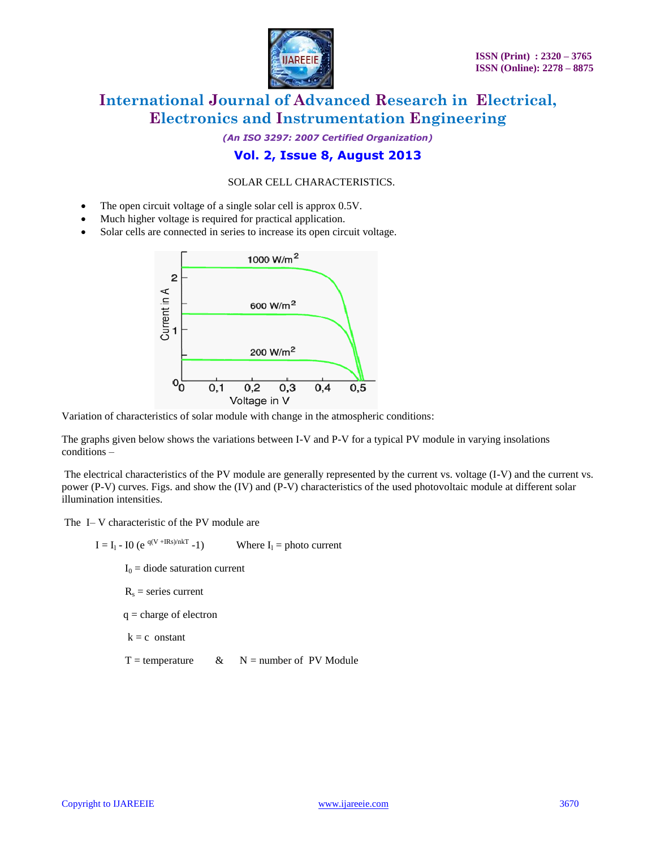

*(An ISO 3297: 2007 Certified Organization)*

### **Vol. 2, Issue 8, August 2013**

#### SOLAR CELL CHARACTERISTICS.

- The open circuit voltage of a single solar cell is approx 0.5V.
- Much higher voltage is required for practical application.
- Solar cells are connected in series to increase its open circuit voltage.



Variation of characteristics of solar module with change in the atmospheric conditions:

The graphs given below shows the variations between I-V and P-V for a typical PV module in varying insolations conditions –

The electrical characteristics of the PV module are generally represented by the current vs. voltage (I-V) and the current vs. power (P-V) curves. Figs. and show the (IV) and (P-V) characteristics of the used photovoltaic module at different solar illumination intensities.

The I– V characteristic of the PV module are

 $I = I_1 - IO (e^{q(V + IRs)/nKT} - 1)$ Where  $I_1$  = photo current  $I_0$  = diode saturation current  $R<sub>s</sub>$  = series current q = charge of electron  $k = c$  onstant  $T =$  temperature & N = number of PV Module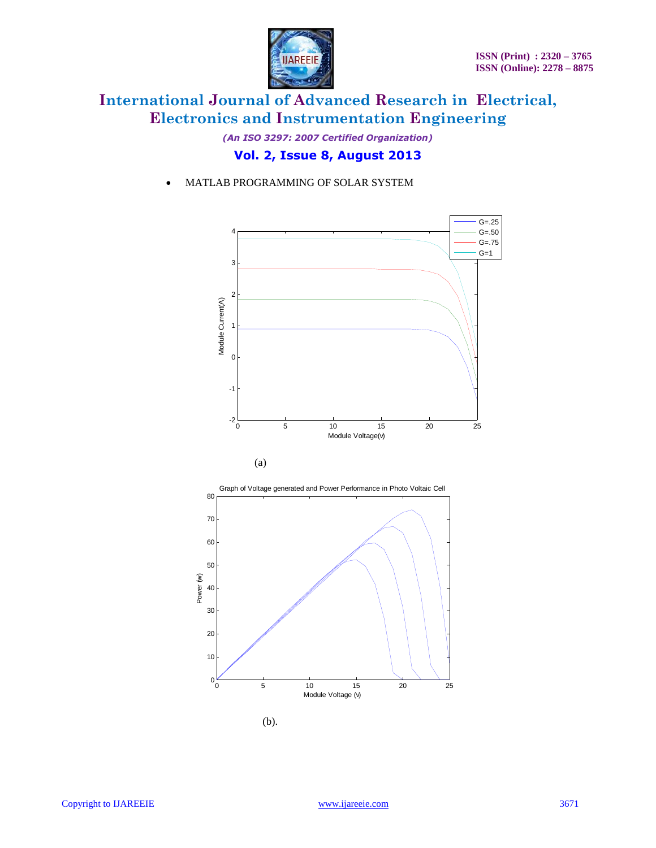

*(An ISO 3297: 2007 Certified Organization)*

### **Vol. 2, Issue 8, August 2013**

MATLAB PROGRAMMING OF SOLAR SYSTEM







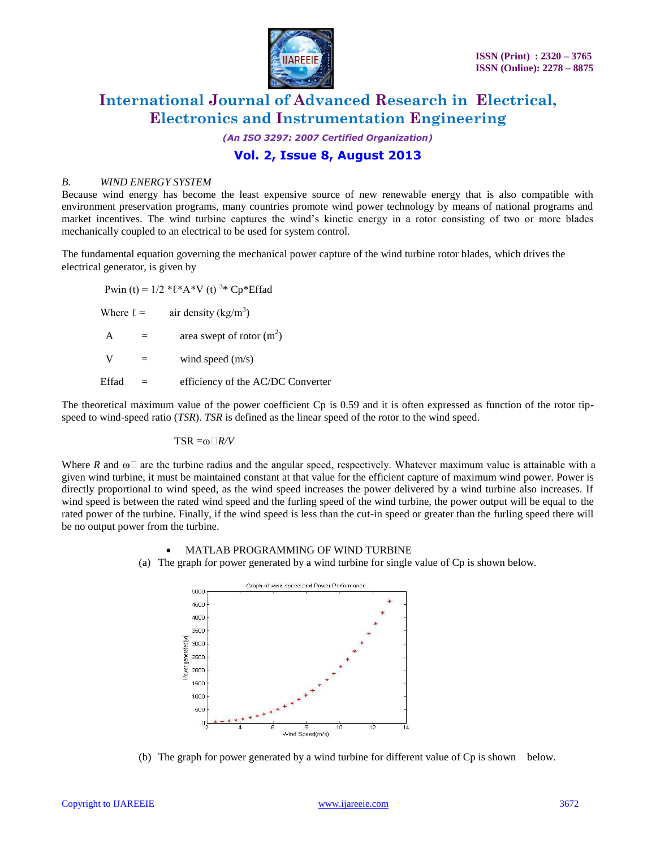

*(An ISO 3297: 2007 Certified Organization)*

### **Vol. 2, Issue 8, August 2013**

#### *B. WIND ENERGY SYSTEM*

Because wind energy has become the least expensive source of new renewable energy that is also compatible with environment preservation programs, many countries promote wind power technology by means of national programs and market incentives. The wind turbine captures the wind's kinetic energy in a rotor consisting of two or more blades mechanically coupled to an electrical to be used for system control.

The fundamental equation governing the mechanical power capture of the wind turbine rotor blades, which drives the electrical generator, is given by

Pwin (t) =  $1/2$  \* $\ell$ \* $A$ \*V (t) <sup>3</sup>\* Cp\*Effad Where  $\ell =$  air density (kg/m<sup>3</sup>)  $A = \text{area swept of rotor (m}^2)$  $V =$  wind speed  $(m/s)$ Effad = efficiency of the AC/DC Converter

The theoretical maximum value of the power coefficient Cp is 0.59 and it is often expressed as function of the rotor tipspeed to wind-speed ratio (*TSR*). *TSR* is defined as the linear speed of the rotor to the wind speed.

$$
TSR = \omega \Box R/V
$$

Where  $R$  and  $\omega \Box$  are the turbine radius and the angular speed, respectively. Whatever maximum value is attainable with a given wind turbine, it must be maintained constant at that value for the efficient capture of maximum wind power. Power is directly proportional to wind speed, as the wind speed increases the power delivered by a wind turbine also increases. If wind speed is between the rated wind speed and the furling speed of the wind turbine, the power output will be equal to the rated power of the turbine. Finally, if the wind speed is less than the cut-in speed or greater than the furling speed there will be no output power from the turbine.

#### MATLAB PROGRAMMING OF WIND TURBINE

(a) The graph for power generated by a wind turbine for single value of Cp is shown below.



(b) The graph for power generated by a wind turbine for different value of Cp is shown below.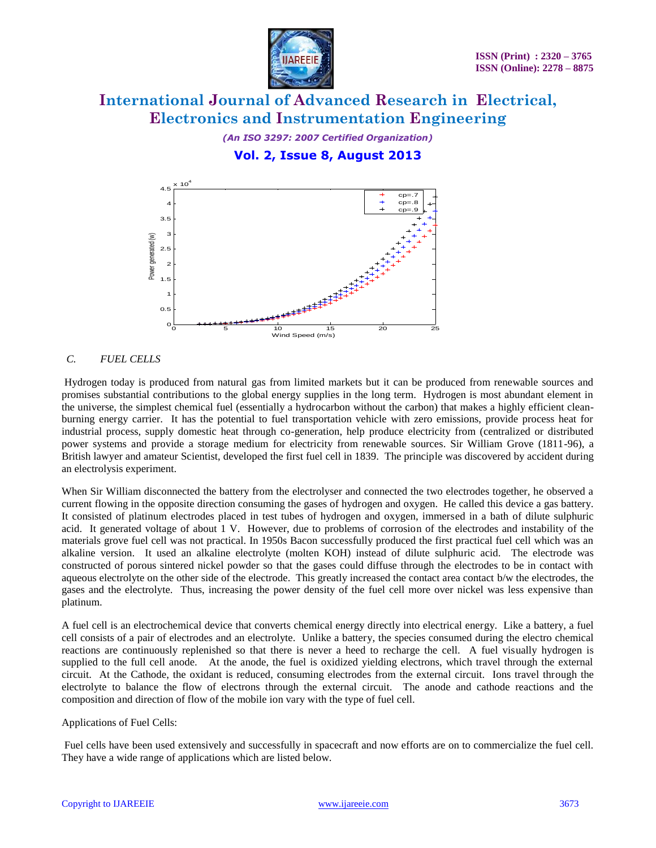

*(An ISO 3297: 2007 Certified Organization)*

**Vol. 2, Issue 8, August 2013**



#### *C. FUEL CELLS*

Hydrogen today is produced from natural gas from limited markets but it can be produced from renewable sources and promises substantial contributions to the global energy supplies in the long term. Hydrogen is most abundant element in the universe, the simplest chemical fuel (essentially a hydrocarbon without the carbon) that makes a highly efficient cleanburning energy carrier. It has the potential to fuel transportation vehicle with zero emissions, provide process heat for industrial process, supply domestic heat through co-generation, help produce electricity from (centralized or distributed power systems and provide a storage medium for electricity from renewable sources. Sir William Grove (1811-96), a British lawyer and amateur Scientist, developed the first fuel cell in 1839. The principle was discovered by accident during an electrolysis experiment.

When Sir William disconnected the battery from the electrolyser and connected the two electrodes together, he observed a current flowing in the opposite direction consuming the gases of hydrogen and oxygen. He called this device a gas battery. It consisted of platinum electrodes placed in test tubes of hydrogen and oxygen, immersed in a bath of dilute sulphuric acid. It generated voltage of about 1 V. However, due to problems of corrosion of the electrodes and instability of the materials grove fuel cell was not practical. In 1950s Bacon successfully produced the first practical fuel cell which was an alkaline version. It used an alkaline electrolyte (molten KOH) instead of dilute sulphuric acid. The electrode was constructed of porous sintered nickel powder so that the gases could diffuse through the electrodes to be in contact with aqueous electrolyte on the other side of the electrode. This greatly increased the contact area contact b/w the electrodes, the gases and the electrolyte. Thus, increasing the power density of the fuel cell more over nickel was less expensive than platinum.

A fuel cell is an electrochemical device that converts chemical energy directly into electrical energy. Like a battery, a fuel cell consists of a pair of electrodes and an electrolyte. Unlike a battery, the species consumed during the electro chemical reactions are continuously replenished so that there is never a heed to recharge the cell. A fuel visually hydrogen is supplied to the full cell anode. At the anode, the fuel is oxidized yielding electrons, which travel through the external circuit. At the Cathode, the oxidant is reduced, consuming electrodes from the external circuit. Ions travel through the electrolyte to balance the flow of electrons through the external circuit. The anode and cathode reactions and the composition and direction of flow of the mobile ion vary with the type of fuel cell.

#### Applications of Fuel Cells:

Fuel cells have been used extensively and successfully in spacecraft and now efforts are on to commercialize the fuel cell. They have a wide range of applications which are listed below.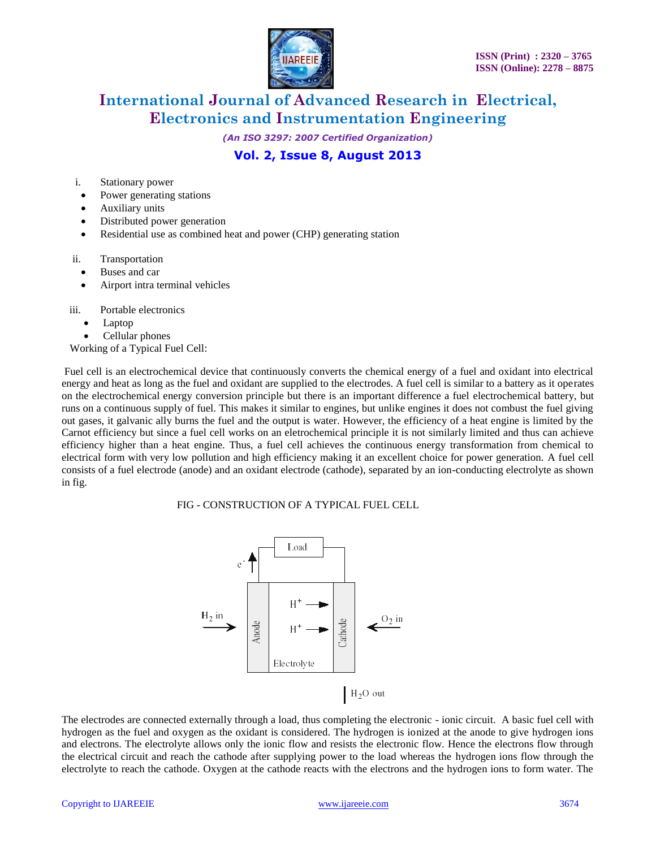

*(An ISO 3297: 2007 Certified Organization)*

### **Vol. 2, Issue 8, August 2013**

i. Stationary power

- Power generating stations
- Auxiliary units
- Distributed power generation
- Residential use as combined heat and power (CHP) generating station
- ii. Transportation
	- Buses and car
	- Airport intra terminal vehicles

iii. Portable electronics

- Laptop
- Cellular phones

Working of a Typical Fuel Cell:

Fuel cell is an electrochemical device that continuously converts the chemical energy of a fuel and oxidant into electrical energy and heat as long as the fuel and oxidant are supplied to the electrodes. A fuel cell is similar to a battery as it operates on the electrochemical energy conversion principle but there is an important difference a fuel electrochemical battery, but runs on a continuous supply of fuel. This makes it similar to engines, but unlike engines it does not combust the fuel giving out gases, it galvanic ally burns the fuel and the output is water. However, the efficiency of a heat engine is limited by the Carnot efficiency but since a fuel cell works on an eletrochemical principle it is not similarly limited and thus can achieve efficiency higher than a heat engine. Thus, a fuel cell achieves the continuous energy transformation from chemical to electrical form with very low pollution and high efficiency making it an excellent choice for power generation. A fuel cell consists of a fuel electrode (anode) and an oxidant electrode (cathode), separated by an ion-conducting electrolyte as shown in fig.

FIG - CONSTRUCTION OF A TYPICAL FUEL CELL



The electrodes are connected externally through a load, thus completing the electronic - ionic circuit. A basic fuel cell with hydrogen as the fuel and oxygen as the oxidant is considered. The hydrogen is ionized at the anode to give hydrogen ions and electrons. The electrolyte allows only the ionic flow and resists the electronic flow. Hence the electrons flow through the electrical circuit and reach the cathode after supplying power to the load whereas the hydrogen ions flow through the electrolyte to reach the cathode. Oxygen at the cathode reacts with the electrons and the hydrogen ions to form water. The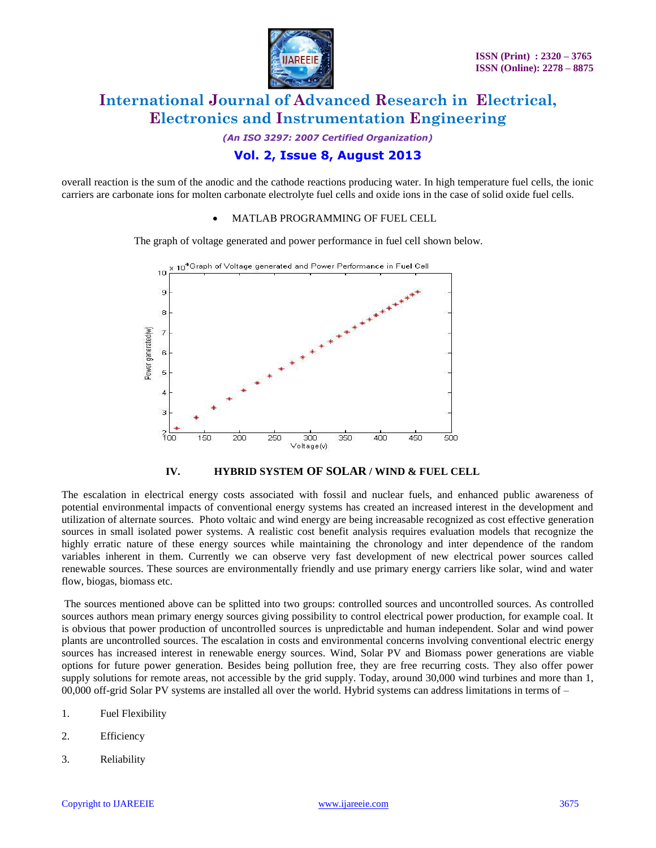

*(An ISO 3297: 2007 Certified Organization)*

### **Vol. 2, Issue 8, August 2013**

overall reaction is the sum of the anodic and the cathode reactions producing water. In high temperature fuel cells, the ionic carriers are carbonate ions for molten carbonate electrolyte fuel cells and oxide ions in the case of solid oxide fuel cells.

#### MATLAB PROGRAMMING OF FUEL CELL

The graph of voltage generated and power performance in fuel cell shown below.





The escalation in electrical energy costs associated with fossil and nuclear fuels, and enhanced public awareness of potential environmental impacts of conventional energy systems has created an increased interest in the development and utilization of alternate sources. Photo voltaic and wind energy are being increasable recognized as cost effective generation sources in small isolated power systems. A realistic cost benefit analysis requires evaluation models that recognize the highly erratic nature of these energy sources while maintaining the chronology and inter dependence of the random variables inherent in them. Currently we can observe very fast development of new electrical power sources called renewable sources. These sources are environmentally friendly and use primary energy carriers like solar, wind and water flow, biogas, biomass etc.

The sources mentioned above can be splitted into two groups: controlled sources and uncontrolled sources. As controlled sources authors mean primary energy sources giving possibility to control electrical power production, for example coal. It is obvious that power production of uncontrolled sources is unpredictable and human independent. Solar and wind power plants are uncontrolled sources. The escalation in costs and environmental concerns involving conventional electric energy sources has increased interest in renewable energy sources. Wind, Solar PV and Biomass power generations are viable options for future power generation. Besides being pollution free, they are free recurring costs. They also offer power supply solutions for remote areas, not accessible by the grid supply. Today, around 30,000 wind turbines and more than 1, 00,000 off-grid Solar PV systems are installed all over the world. Hybrid systems can address limitations in terms of –

- 1. Fuel Flexibility
- 2. Efficiency
- 3. Reliability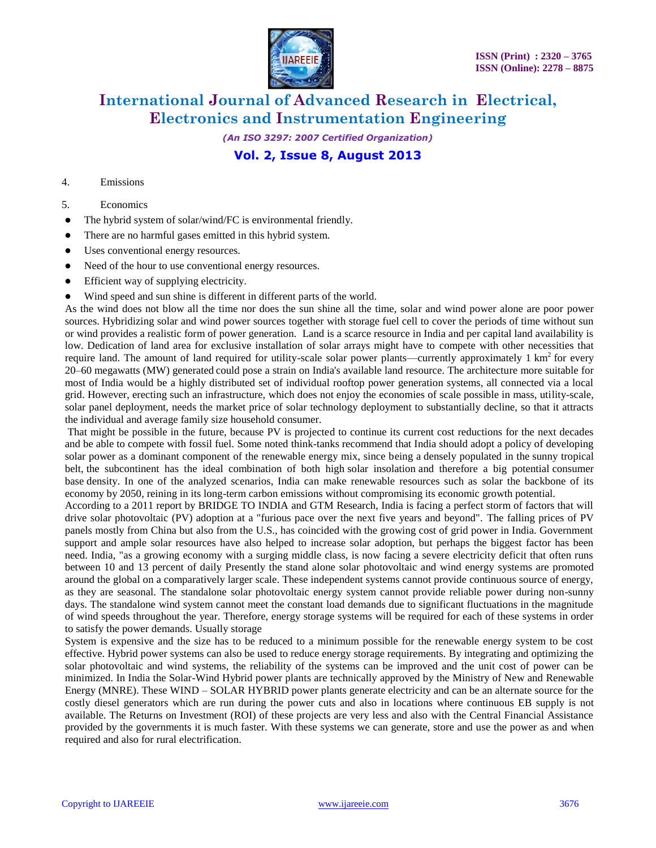

*(An ISO 3297: 2007 Certified Organization)*

### **Vol. 2, Issue 8, August 2013**

#### 4. Emissions

- 5. Economics
- The hybrid system of solar/wind/FC is environmental friendly.
- There are no harmful gases emitted in this hybrid system.
- Uses conventional energy resources.
- Need of the hour to use conventional energy resources.
- Efficient way of supplying electricity.
- Wind speed and sun shine is different in different parts of the world.

As the wind does not blow all the time nor does the sun shine all the time, solar and wind power alone are poor power sources. Hybridizing solar and wind power sources together with storage fuel cell to cover the periods of time without sun or wind provides a realistic form of power generation. Land is a scarce resource in India and per capital land availability is low. Dedication of land area for exclusive installation of solar arrays might have to compete with other necessities that require land. The amount of land required for utility-scale solar power plants—currently approximately  $1 \text{ km}^2$  for every 20–60 megawatts (MW) generated could pose a strain on India's available land resource. The architecture more suitable for most of India would be a highly distributed set of individual rooftop power generation systems, all connected via a local grid. However, erecting such an infrastructure, which does not enjoy the economies of scale possible in mass, utility-scale, solar panel deployment, needs the market price of solar technology deployment to substantially decline, so that it attracts the individual and average family size household consumer.

That might be possible in the future, because PV is projected to continue its current cost reductions for the next decades and be able to compete with fossil fuel. Some noted think-tanks recommend that India should adopt a policy of developing solar power as a dominant component of the renewable energy mix, since being a densely populated in the sunny tropical belt, the subcontinent has the ideal combination of both high solar insolation and therefore a big potential consumer base density. In one of the analyzed scenarios, India can make renewable resources such as solar the backbone of its economy by 2050, reining in its long-term carbon emissions without compromising its economic growth potential.

According to a 2011 report by BRIDGE TO INDIA and GTM Research, India is facing a perfect storm of factors that will drive solar photovoltaic (PV) adoption at a "furious pace over the next five years and beyond". The falling prices of PV panels mostly from China but also from the U.S., has coincided with the growing cost of grid power in India. Government support and ample solar resources have also helped to increase solar adoption, but perhaps the biggest factor has been need. India, "as a growing economy with a surging middle class, is now facing a severe electricity deficit that often runs between 10 and 13 percent of daily Presently the stand alone solar photovoltaic and wind energy systems are promoted around the global on a comparatively larger scale. These independent systems cannot provide continuous source of energy, as they are seasonal. The standalone solar photovoltaic energy system cannot provide reliable power during non-sunny days. The standalone wind system cannot meet the constant load demands due to significant fluctuations in the magnitude of wind speeds throughout the year. Therefore, energy storage systems will be required for each of these systems in order to satisfy the power demands. Usually storage

System is expensive and the size has to be reduced to a minimum possible for the renewable energy system to be cost effective. Hybrid power systems can also be used to reduce energy storage requirements. By integrating and optimizing the solar photovoltaic and wind systems, the reliability of the systems can be improved and the unit cost of power can be minimized. In India the Solar-Wind Hybrid power plants are technically approved by the Ministry of New and Renewable Energy (MNRE). These WIND – SOLAR HYBRID power plants generate electricity and can be an alternate source for the costly diesel generators which are run during the power cuts and also in locations where continuous EB supply is not available. The Returns on Investment (ROI) of these projects are very less and also with the Central Financial Assistance provided by the governments it is much faster. With these systems we can generate, store and use the power as and when required and also for rural electrification.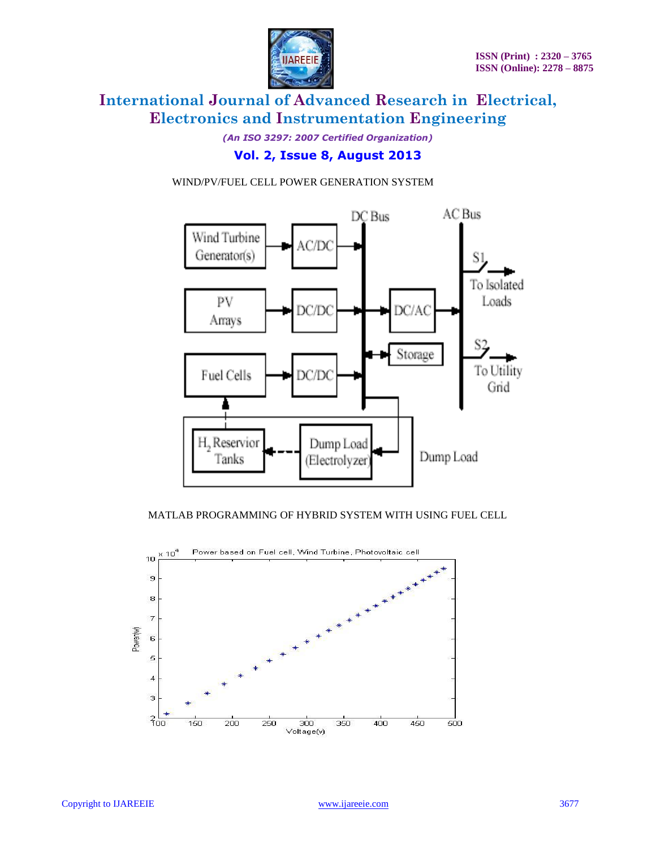

*(An ISO 3297: 2007 Certified Organization)*

### **Vol. 2, Issue 8, August 2013**

#### WIND/PV/FUEL CELL POWER GENERATION SYSTEM



#### MATLAB PROGRAMMING OF HYBRID SYSTEM WITH USING FUEL CELL

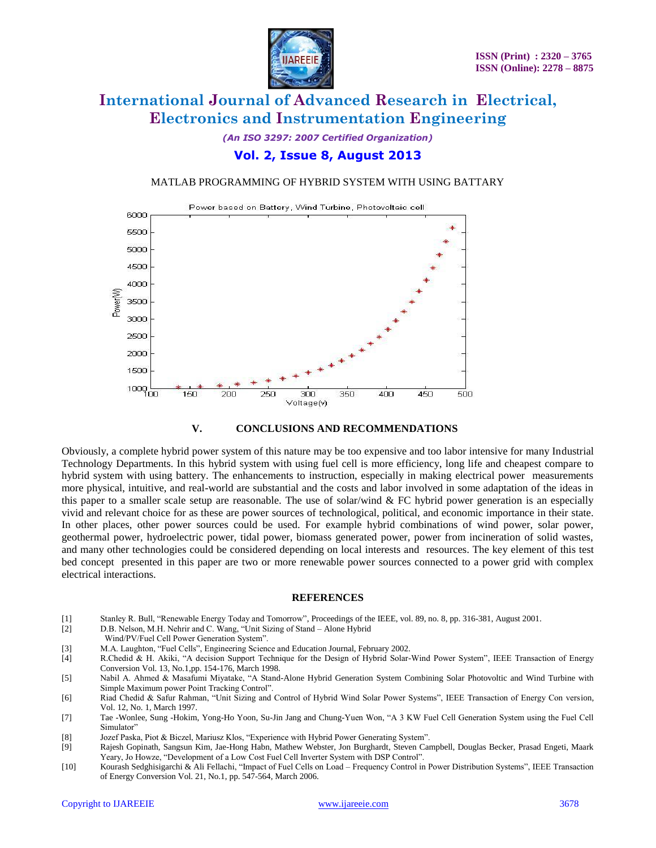

*(An ISO 3297: 2007 Certified Organization)*

### **Vol. 2, Issue 8, August 2013**

#### MATLAB PROGRAMMING OF HYBRID SYSTEM WITH USING BATTARY





Obviously, a complete hybrid power system of this nature may be too expensive and too labor intensive for many Industrial Technology Departments. In this hybrid system with using fuel cell is more efficiency, long life and cheapest compare to hybrid system with using battery. The enhancements to instruction, especially in making electrical power measurements more physical, intuitive, and real-world are substantial and the costs and labor involved in some adaptation of the ideas in this paper to a smaller scale setup are reasonable. The use of solar/wind  $&$  FC hybrid power generation is an especially vivid and relevant choice for as these are power sources of technological, political, and economic importance in their state. In other places, other power sources could be used. For example hybrid combinations of wind power, solar power, geothermal power, hydroelectric power, tidal power, biomass generated power, power from incineration of solid wastes, and many other technologies could be considered depending on local interests and resources. The key element of this test bed concept presented in this paper are two or more renewable power sources connected to a power grid with complex electrical interactions.

#### **REFERENCES**

- [1] Stanley R. Bull, "Renewable Energy Today and Tomorrow", Proceedings of the IEEE, vol. 89, no. 8, pp. 316-381, August 2001.
- [2] D.B. Nelson, M.H. Nehrir and C. Wang, "Unit Sizing of Stand Alone Hybrid
- Wind/PV/Fuel Cell Power Generation System".<br>
[3] M.A. Laughton, "Fuel Cells", Engineering Science
- [3] M.A. Laughton, "Fuel Cells", Engineering Science and Education Journal, February 2002.<br>
[4] R.Chedid & H. Akiki, "A decision Support Technique for the Design of Hybrid Solar-
- R.Chedid & H. Akiki, "A decision Support Technique for the Design of Hybrid Solar-Wind Power System", IEEE Transaction of Energy Conversion Vol. 13, No.1,pp. 154-176, March 1998.
- [5] Nabil A. Ahmed & Masafumi Miyatake, "A Stand-Alone Hybrid Generation System Combining Solar Photovoltic and Wind Turbine with Simple Maximum power Point Tracking Control".
- [6] Riad Chedid & Safur Rahman, "Unit Sizing and Control of Hybrid Wind Solar Power Systems", IEEE Transaction of Energy Con version, Vol. 12, No. 1, March 1997.
- [7] Tae -Wonlee, Sung -Hokim, Yong-Ho Yoon, Su-Jin Jang and Chung-Yuen Won, "A 3 KW Fuel Cell Generation System using the Fuel Cell Simulator"
- [8] Jozef Paska, Piot & Biczel, Mariusz Klos, "Experience with Hybrid Power Generating System".
- [9] Rajesh Gopinath, Sangsun Kim, Jae-Hong Habn, Mathew Webster, Jon Burghardt, Steven Campbell, Douglas Becker, Prasad Engeti, Maark Yeary, Jo Howze, "Development of a Low Cost Fuel Cell Inverter System with DSP Control".
- [10] Kourash Sedghisigarchi & Ali Fellachi, "Impact of Fuel Cells on Load Frequency Control in Power Distribution Systems", IEEE Transaction of Energy Conversion Vol. 21, No.1, pp. 547-564, March 2006.